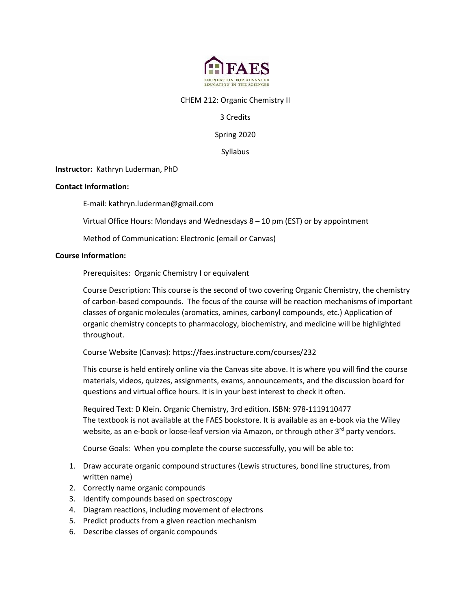

#### CHEM 212: Organic Chemistry II

## 3 Credits

Spring 2020

Syllabus

**Instructor:** Kathryn Luderman, PhD

#### **Contact Information:**

E-mail: kathryn.luderman@gmail.com

Virtual Office Hours: Mondays and Wednesdays 8 – 10 pm (EST) or by appointment

Method of Communication: Electronic (email or Canvas)

#### **Course Information:**

Prerequisites: Organic Chemistry I or equivalent

Course Description: This course is the second of two covering Organic Chemistry, the chemistry of carbon-based compounds. The focus of the course will be reaction mechanisms of important classes of organic molecules (aromatics, amines, carbonyl compounds, etc.) Application of organic chemistry concepts to pharmacology, biochemistry, and medicine will be highlighted throughout.

Course Website (Canvas): https://faes.instructure.com/courses/232

This course is held entirely online via the Canvas site above. It is where you will find the course materials, videos, quizzes, assignments, exams, announcements, and the discussion board for questions and virtual office hours. It is in your best interest to check it often.

Required Text: D Klein. Organic Chemistry, 3rd edition. ISBN: 978-1119110477 The textbook is not available at the FAES bookstore. It is available as an e-book via the Wiley website, as an e-book or loose-leaf version via Amazon, or through other 3<sup>rd</sup> party vendors.

Course Goals: When you complete the course successfully, you will be able to:

- 1. Draw accurate organic compound structures (Lewis structures, bond line structures, from written name)
- 2. Correctly name organic compounds
- 3. Identify compounds based on spectroscopy
- 4. Diagram reactions, including movement of electrons
- 5. Predict products from a given reaction mechanism
- 6. Describe classes of organic compounds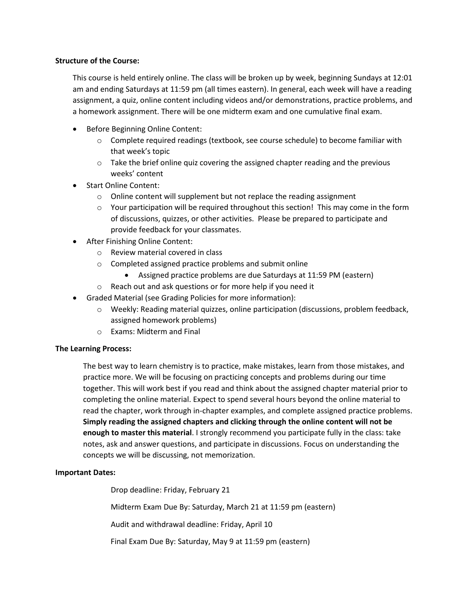#### **Structure of the Course:**

This course is held entirely online. The class will be broken up by week, beginning Sundays at 12:01 am and ending Saturdays at 11:59 pm (all times eastern). In general, each week will have a reading assignment, a quiz, online content including videos and/or demonstrations, practice problems, and a homework assignment. There will be one midterm exam and one cumulative final exam.

- Before Beginning Online Content:
	- $\circ$  Complete required readings (textbook, see course schedule) to become familiar with that week's topic
	- $\circ$  Take the brief online quiz covering the assigned chapter reading and the previous weeks' content
- Start Online Content:
	- o Online content will supplement but not replace the reading assignment
	- $\circ$  Your participation will be required throughout this section! This may come in the form of discussions, quizzes, or other activities. Please be prepared to participate and provide feedback for your classmates.
- After Finishing Online Content:
	- o Review material covered in class
	- o Completed assigned practice problems and submit online
		- Assigned practice problems are due Saturdays at 11:59 PM (eastern)
	- o Reach out and ask questions or for more help if you need it
- Graded Material (see Grading Policies for more information):
	- $\circ$  Weekly: Reading material quizzes, online participation (discussions, problem feedback, assigned homework problems)
	- o Exams: Midterm and Final

## **The Learning Process:**

The best way to learn chemistry is to practice, make mistakes, learn from those mistakes, and practice more. We will be focusing on practicing concepts and problems during our time together. This will work best if you read and think about the assigned chapter material prior to completing the online material. Expect to spend several hours beyond the online material to read the chapter, work through in-chapter examples, and complete assigned practice problems. **Simply reading the assigned chapters and clicking through the online content will not be enough to master this material**. I strongly recommend you participate fully in the class: take notes, ask and answer questions, and participate in discussions. Focus on understanding the concepts we will be discussing, not memorization.

## **Important Dates:**

Drop deadline: Friday, February 21

Midterm Exam Due By: Saturday, March 21 at 11:59 pm (eastern)

Audit and withdrawal deadline: Friday, April 10

Final Exam Due By: Saturday, May 9 at 11:59 pm (eastern)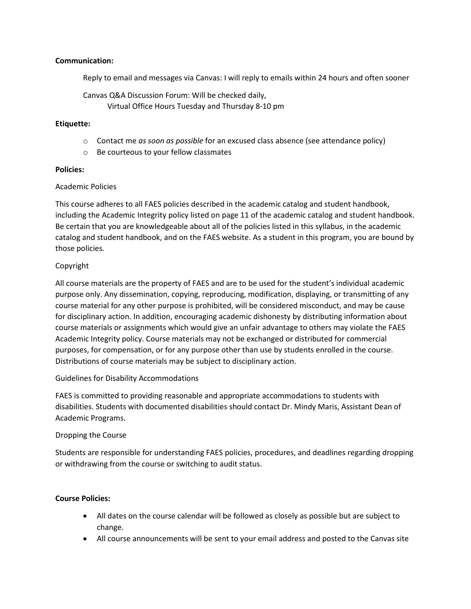## **Communication:**

Reply to email and messages via Canvas: I will reply to emails within 24 hours and often sooner

Canvas Q&A Discussion Forum: Will be checked daily, Virtual Office Hours Tuesday and Thursday 8-10 pm

### **Etiquette:**

- o Contact me *as soon as possible* for an excused class absence (see attendance policy)
- o Be courteous to your fellow classmates

#### **Policies:**

## Academic Policies

This course adheres to all FAES policies described in the academic catalog and student handbook, including the Academic Integrity policy listed on page 11 of the academic catalog and student handbook. Be certain that you are knowledgeable about all of the policies listed in this syllabus, in the academic catalog and student handbook, and on the FAES website. As a student in this program, you are bound by those policies.

## Copyright

All course materials are the property of FAES and are to be used for the student's individual academic purpose only. Any dissemination, copying, reproducing, modification, displaying, or transmitting of any course material for any other purpose is prohibited, will be considered misconduct, and may be cause for disciplinary action. In addition, encouraging academic dishonesty by distributing information about course materials or assignments which would give an unfair advantage to others may violate the FAES Academic Integrity policy. Course materials may not be exchanged or distributed for commercial purposes, for compensation, or for any purpose other than use by students enrolled in the course. Distributions of course materials may be subject to disciplinary action.

## Guidelines for Disability Accommodations

FAES is committed to providing reasonable and appropriate accommodations to students with disabilities. Students with documented disabilities should contact Dr. Mindy Maris, Assistant Dean of Academic Programs.

## Dropping the Course

Students are responsible for understanding FAES policies, procedures, and deadlines regarding dropping or withdrawing from the course or switching to audit status.

## **Course Policies:**

- All dates on the course calendar will be followed as closely as possible but are subject to change.
- All course announcements will be sent to your email address and posted to the Canvas site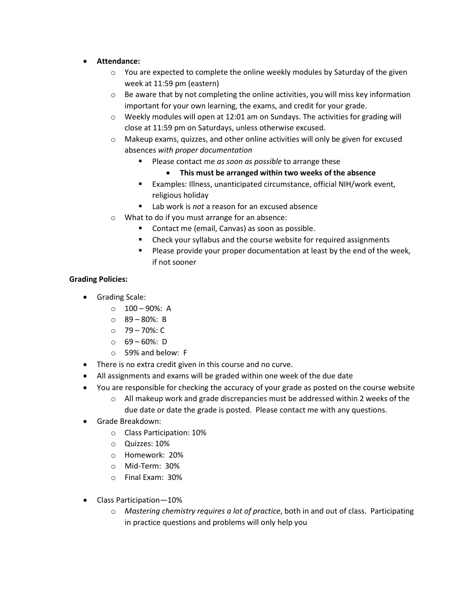- **Attendance:**
	- $\circ$  You are expected to complete the online weekly modules by Saturday of the given week at 11:59 pm (eastern)
	- $\circ$  Be aware that by not completing the online activities, you will miss key information important for your own learning, the exams, and credit for your grade.
	- $\circ$  Weekly modules will open at 12:01 am on Sundays. The activities for grading will close at 11:59 pm on Saturdays, unless otherwise excused.
	- $\circ$  Makeup exams, quizzes, and other online activities will only be given for excused absences *with proper documentation*
		- **Please contact me** *as soon as possible* to arrange these
			- **This must be arranged within two weeks of the absence**
		- Examples: Illness, unanticipated circumstance, official NIH/work event, religious holiday
		- Lab work is *not* a reason for an excused absence
	- o What to do if you must arrange for an absence:
		- **Contact me (email, Canvas) as soon as possible.**
		- Check your syllabus and the course website for required assignments
		- **Please provide your proper documentation at least by the end of the week,** if not sooner

## **Grading Policies:**

- Grading Scale:
	- $\circ$  100 90%: A
	- o 89 80%: B
	- $O$  79 70%: C
	- $0.69 60\%$ : D
	- o 59% and below: F
- There is no extra credit given in this course and no curve.
- All assignments and exams will be graded within one week of the due date
- You are responsible for checking the accuracy of your grade as posted on the course website
	- $\circ$  All makeup work and grade discrepancies must be addressed within 2 weeks of the due date or date the grade is posted. Please contact me with any questions.
- Grade Breakdown:
	- o Class Participation: 10%
	- o Quizzes: 10%
	- o Homework: 20%
	- o Mid-Term: 30%
	- o Final Exam: 30%
- Class Participation—10%
	- o *Mastering chemistry requires a lot of practice*, both in and out of class. Participating in practice questions and problems will only help you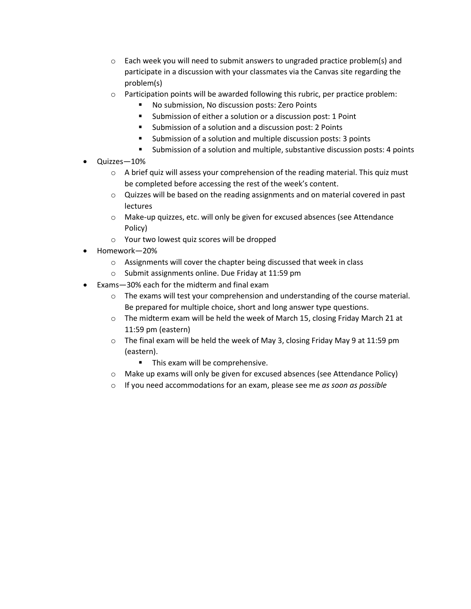- $\circ$  Each week you will need to submit answers to ungraded practice problem(s) and participate in a discussion with your classmates via the Canvas site regarding the problem(s)
- $\circ$  Participation points will be awarded following this rubric, per practice problem:
	- No submission, No discussion posts: Zero Points
	- **Submission of either a solution or a discussion post: 1 Point**
	- Submission of a solution and a discussion post: 2 Points
	- **Submission of a solution and multiple discussion posts: 3 points**
	- Submission of a solution and multiple, substantive discussion posts: 4 points
- Quizzes—10%
	- $\circ$  A brief quiz will assess your comprehension of the reading material. This quiz must be completed before accessing the rest of the week's content.
	- o Quizzes will be based on the reading assignments and on material covered in past lectures
	- $\circ$  Make-up quizzes, etc. will only be given for excused absences (see Attendance Policy)
	- o Your two lowest quiz scores will be dropped
- Homework—20%
	- o Assignments will cover the chapter being discussed that week in class
	- o Submit assignments online. Due Friday at 11:59 pm
- Exams—30% each for the midterm and final exam
	- o The exams will test your comprehension and understanding of the course material. Be prepared for multiple choice, short and long answer type questions.
	- $\circ$  The midterm exam will be held the week of March 15, closing Friday March 21 at 11:59 pm (eastern)
	- $\circ$  The final exam will be held the week of May 3, closing Friday May 9 at 11:59 pm (eastern).
		- **This exam will be comprehensive.**
	- o Make up exams will only be given for excused absences (see Attendance Policy)
	- o If you need accommodations for an exam, please see me *as soon as possible*